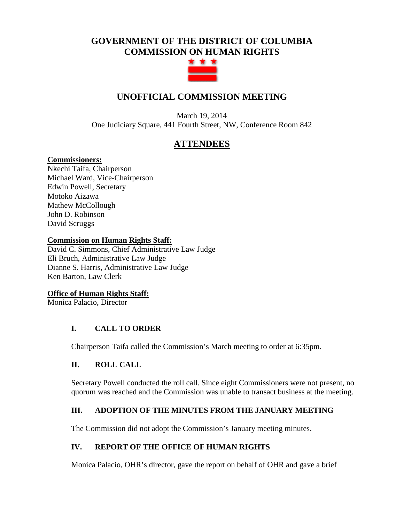# **GOVERNMENT OF THE DISTRICT OF COLUMBIA COMMISSION ON HUMAN RIGHTS**



# **UNOFFICIAL COMMISSION MEETING**

March 19, 2014 One Judiciary Square, 441 Fourth Street, NW, Conference Room 842

## **ATTENDEES**

#### **Commissioners:**

Nkechi Taifa, Chairperson Michael Ward, Vice-Chairperson Edwin Powell, Secretary Motoko Aizawa Mathew McCollough John D. Robinson David Scruggs

#### **Commission on Human Rights Staff:**

David C. Simmons, Chief Administrative Law Judge Eli Bruch, Administrative Law Judge Dianne S. Harris, Administrative Law Judge Ken Barton, Law Clerk

#### **Office of Human Rights Staff:**

Monica Palacio, Director

#### **I. CALL TO ORDER**

Chairperson Taifa called the Commission's March meeting to order at 6:35pm.

#### **II. ROLL CALL**

Secretary Powell conducted the roll call. Since eight Commissioners were not present, no quorum was reached and the Commission was unable to transact business at the meeting.

## **III. ADOPTION OF THE MINUTES FROM THE JANUARY MEETING**

The Commission did not adopt the Commission's January meeting minutes.

## **IV. REPORT OF THE OFFICE OF HUMAN RIGHTS**

Monica Palacio, OHR's director, gave the report on behalf of OHR and gave a brief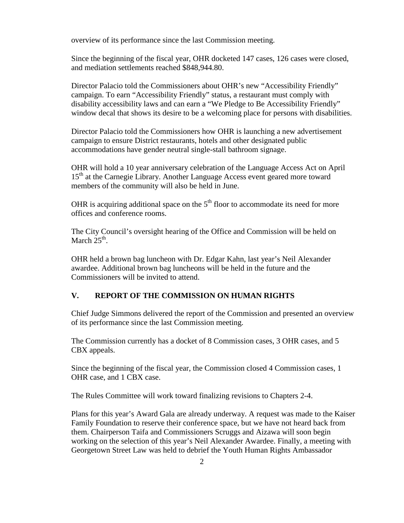overview of its performance since the last Commission meeting.

Since the beginning of the fiscal year, OHR docketed 147 cases, 126 cases were closed, and mediation settlements reached \$848,944.80.

Director Palacio told the Commissioners about OHR's new "Accessibility Friendly" campaign. To earn "Accessibility Friendly" status, a restaurant must comply with disability accessibility laws and can earn a "We Pledge to Be Accessibility Friendly" window decal that shows its desire to be a welcoming place for persons with disabilities.

Director Palacio told the Commissioners how OHR is launching a new advertisement campaign to ensure District restaurants, hotels and other designated public accommodations have gender neutral single-stall bathroom signage.

OHR will hold a 10 year anniversary celebration of the Language Access Act on April 15<sup>th</sup> at the Carnegie Library. Another Language Access event geared more toward members of the community will also be held in June.

OHR is acquiring additional space on the  $5<sup>th</sup>$  floor to accommodate its need for more offices and conference rooms.

The City Council's oversight hearing of the Office and Commission will be held on March  $25<sup>th</sup>$ .

OHR held a brown bag luncheon with Dr. Edgar Kahn, last year's Neil Alexander awardee. Additional brown bag luncheons will be held in the future and the Commissioners will be invited to attend.

#### **V. REPORT OF THE COMMISSION ON HUMAN RIGHTS**

Chief Judge Simmons delivered the report of the Commission and presented an overview of its performance since the last Commission meeting.

The Commission currently has a docket of 8 Commission cases, 3 OHR cases, and 5 CBX appeals.

Since the beginning of the fiscal year, the Commission closed 4 Commission cases, 1 OHR case, and 1 CBX case.

The Rules Committee will work toward finalizing revisions to Chapters 2-4.

Plans for this year's Award Gala are already underway. A request was made to the Kaiser Family Foundation to reserve their conference space, but we have not heard back from them. Chairperson Taifa and Commissioners Scruggs and Aizawa will soon begin working on the selection of this year's Neil Alexander Awardee. Finally, a meeting with Georgetown Street Law was held to debrief the Youth Human Rights Ambassador